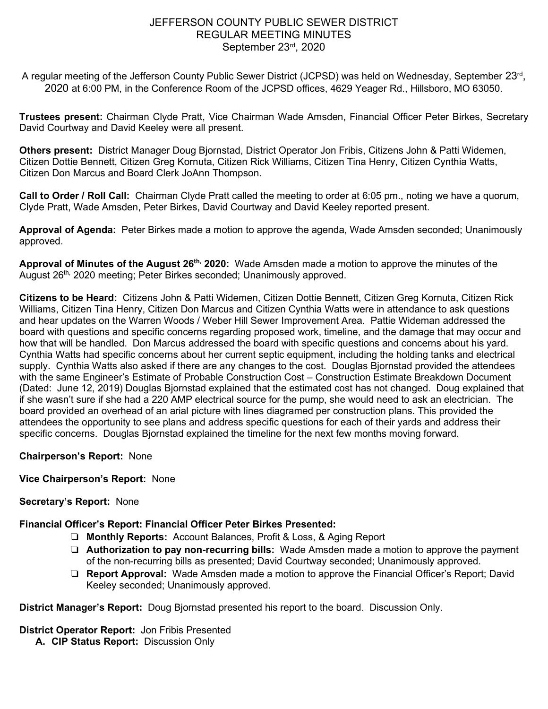## JEFFERSON COUNTY PUBLIC SEWER DISTRICT REGULAR MEETING MINUTES September 23rd, 2020

A regular meeting of the Jefferson County Public Sewer District (JCPSD) was held on Wednesday, September 23<sup>rd</sup>, 2020 at 6:00 PM, in the Conference Room of the JCPSD offices, 4629 Yeager Rd., Hillsboro, MO 63050.

**Trustees present:** Chairman Clyde Pratt, Vice Chairman Wade Amsden, Financial Officer Peter Birkes, Secretary David Courtway and David Keeley were all present.

**Others present:** District Manager Doug Bjornstad, District Operator Jon Fribis, Citizens John & Patti Widemen, Citizen Dottie Bennett, Citizen Greg Kornuta, Citizen Rick Williams, Citizen Tina Henry, Citizen Cynthia Watts, Citizen Don Marcus and Board Clerk JoAnn Thompson.

**Call to Order / Roll Call:** Chairman Clyde Pratt called the meeting to order at 6:05 pm., noting we have a quorum, Clyde Pratt, Wade Amsden, Peter Birkes, David Courtway and David Keeley reported present.

**Approval of Agenda:** Peter Birkes made a motion to approve the agenda, Wade Amsden seconded; Unanimously approved.

**Approval of Minutes of the August 26th, 2020:** Wade Amsden made a motion to approve the minutes of the August 26<sup>th,</sup> 2020 meeting; Peter Birkes seconded; Unanimously approved.

**Citizens to be Heard:** Citizens John & Patti Widemen, Citizen Dottie Bennett, Citizen Greg Kornuta, Citizen Rick Williams, Citizen Tina Henry, Citizen Don Marcus and Citizen Cynthia Watts were in attendance to ask questions and hear updates on the Warren Woods / Weber Hill Sewer Improvement Area. Pattie Wideman addressed the board with questions and specific concerns regarding proposed work, timeline, and the damage that may occur and how that will be handled. Don Marcus addressed the board with specific questions and concerns about his yard. Cynthia Watts had specific concerns about her current septic equipment, including the holding tanks and electrical supply. Cynthia Watts also asked if there are any changes to the cost. Douglas Bjornstad provided the attendees with the same Engineer's Estimate of Probable Construction Cost – Construction Estimate Breakdown Document (Dated: June 12, 2019) Douglas Bjornstad explained that the estimated cost has not changed. Doug explained that if she wasn't sure if she had a 220 AMP electrical source for the pump, she would need to ask an electrician. The board provided an overhead of an arial picture with lines diagramed per construction plans. This provided the attendees the opportunity to see plans and address specific questions for each of their yards and address their specific concerns. Douglas Bjornstad explained the timeline for the next few months moving forward.

**Chairperson's Report:** None

**Vice Chairperson's Report:** None

#### **Secretary's Report:** None

**Financial Officer's Report: Financial Officer Peter Birkes Presented:** 

- ❏ **Monthly Reports:** Account Balances, Profit & Loss, & Aging Report
- ❏ **Authorization to pay non-recurring bills:** Wade Amsden made a motion to approve the payment of the non-recurring bills as presented; David Courtway seconded; Unanimously approved.
- ❏ **Report Approval:** Wade Amsden made a motion to approve the Financial Officer's Report; David Keeley seconded; Unanimously approved.

**District Manager's Report:** Doug Bjornstad presented his report to the board. Discussion Only.

**District Operator Report:** Jon Fribis Presented

**A. CIP Status Report:** Discussion Only